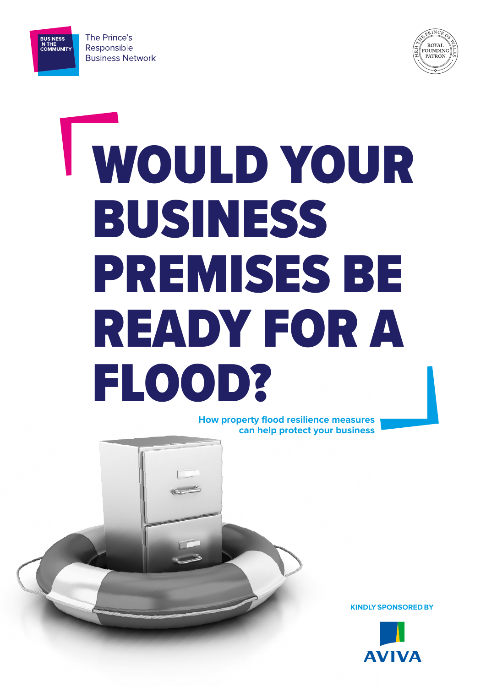

**BUSINESS<br>IN THE<br>COMMUNITY** 



# WOULD YOUR BUSINESS PREMISES BE READY FOR A FLOOD?

**How property flood resilience measures can help protect your business**

**KINDLY SPONSORED BY**

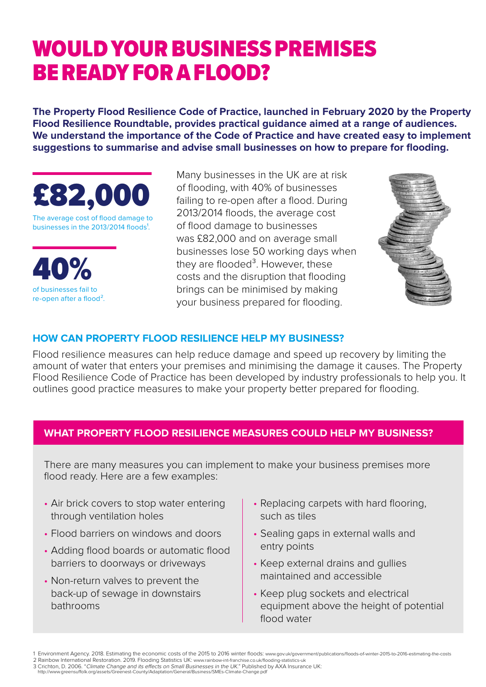# WOULD YOUR BUSINESS PREMISES BE READY FOR A FLOOD?

**The Property Flood Resilience Code of Practice, launched in February 2020 by the Property Flood Resilience Roundtable, provides practical guidance aimed at a range of audiences. We understand the importance of the Code of Practice and have created easy to implement suggestions to summarise and advise small businesses on how to prepare for flooding.**



The average cost of flood damage to businesses in the 2013/2014 floods<sup>1</sup>.



Many businesses in the UK are at risk of flooding, with 40% of businesses failing to re-open after a flood. During 2013/2014 floods, the average cost of flood damage to businesses was £82,000 and on average small businesses lose 50 working days when they are flooded $3$ . However, these costs and the disruption that flooding brings can be minimised by making your business prepared for flooding.



### **HOW CAN PROPERTY FLOOD RESILIENCE HELP MY BUSINESS?**

Flood resilience measures can help reduce damage and speed up recovery by limiting the amount of water that enters your premises and minimising the damage it causes. The Property Flood Resilience Code of Practice has been developed by industry professionals to help you. It outlines good practice measures to make your property better prepared for flooding.

# **WHAT PROPERTY FLOOD RESILIENCE MEASURES COULD HELP MY BUSINESS?**

There are many measures you can implement to make your business premises more flood ready. Here are a few examples:

- Air brick covers to stop water entering through ventilation holes
- Flood barriers on windows and doors
- Adding flood boards or automatic flood barriers to doorways or driveways
- Non-return valves to prevent the back-up of sewage in downstairs bathrooms
- Replacing carpets with hard flooring, such as tiles
- Sealing gaps in external walls and entry points
- Keep external drains and gullies maintained and accessible
- Keep plug sockets and electrical equipment above the height of potential flood water

<sup>1</sup> Environment Agency. 2018. Estimating the economic costs of the 2015 to 2016 winter floods: [www.gov.uk/government/publications/floods-of-winter-2015-to-2016-estimating-the-costs](http://www.gov.uk/government/publications/floods-of-winter-2015-to-2016-estimating-the-costs) 2 Rainbow International Restoration. 2019. Flooding Statistics UK: [www.rainbow-int-franchise.co.uk/flooding-statistics-uk](http://www.rainbow-int-franchise.co.uk/flooding-statistics-uk )

<sup>3</sup> Crichton, D. 2006. "Climate Change and its effects on Small Businesses in the UK.[" Published](http://www.greensuffolk.org/assets/Greenest-County/Adaptation/General/Business/SMEs-Climate-Change.p) by AXA Insurance UK: [http://www.greensuffolk.org/assets/Greenest-County/Adaptation/General/Business/SMEs-Climate-Change.pdf](http://www.greensuffolk.org/assets/Greenest-County/Adaptation/General/Business/SMEs-Climate-Change.p)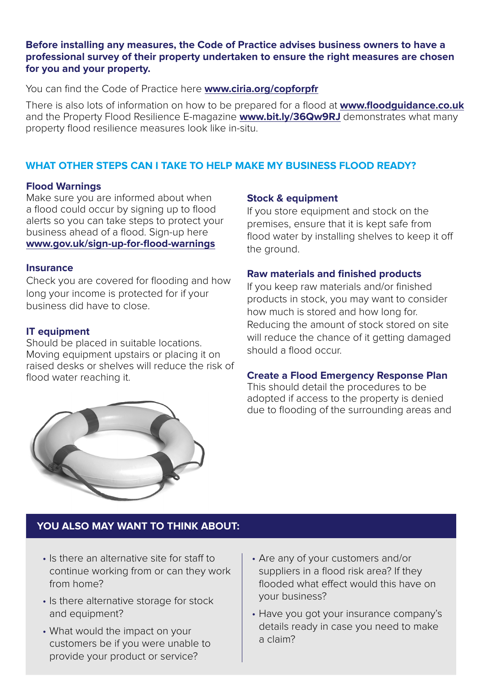#### **Before installing any measures, the Code of Practice advises business owners to have a professional survey of their property undertaken to ensure the right measures are chosen for you and your property.**

You can find the Code of Practice here **[www.ciria.org/copforpfr](http://www.ciria.org/copforpfr)**

There is also lots of information on how to be prepared for a flood at **www[.floodguidance.co.uk](http://www.floodguidance.co.uk)** and the [Property Flood Resilience E-magazine](https://bit.ly/36Qw9RJ) **www.bit.ly/36Qw9RJ** demonstrates what many property flood resilience measures look like in-situ.

## **WHAT OTHER STEPS CAN I TAKE TO HELP MAKE MY BUSINESS FLOOD READY?**

#### **Flood Warnings**

Make sure you are informed about when a flood could occur by signing up to flood alerts so you can take steps to protect your business ahead of a flood. Sign-up here **www.gov.uk/sign-up-for-flood-warnings**

#### **Insurance**

Check you are covered for flooding and how long your income is protected for if your business did have to close.

#### **IT equipment**

Should be placed in suitable locations. Moving equipment upstairs or placing it on raised desks or shelves will reduce the risk of flood water reaching it.

#### **Stock & equipment**

If you store equipment and stock on the premises, ensure that it is kept safe from flood water by installing shelves to keep it off the ground.

#### **Raw materials and finished products**

If you keep raw materials and/or finished products in stock, you may want to consider how much is stored and how long for. Reducing the amount of stock stored on site will reduce the chance of it getting damaged should a flood occur.

#### **Create a Flood Emergency Response Plan**

This should detail the procedures to be adopted if access to the property is denied due to flooding of the surrounding areas and



# **YOU ALSO MAY WANT TO THINK ABOUT:**

- Is there an alternative site for staff to continue working from or can they work from home?
- Is there alternative storage for stock and equipment?
- What would the impact on your customers be if you were unable to provide your product or service?
- Are any of your customers and/or suppliers in a flood risk area? If they flooded what effect would this have on your business?
- Have you got your insurance company's details ready in case you need to make a claim?